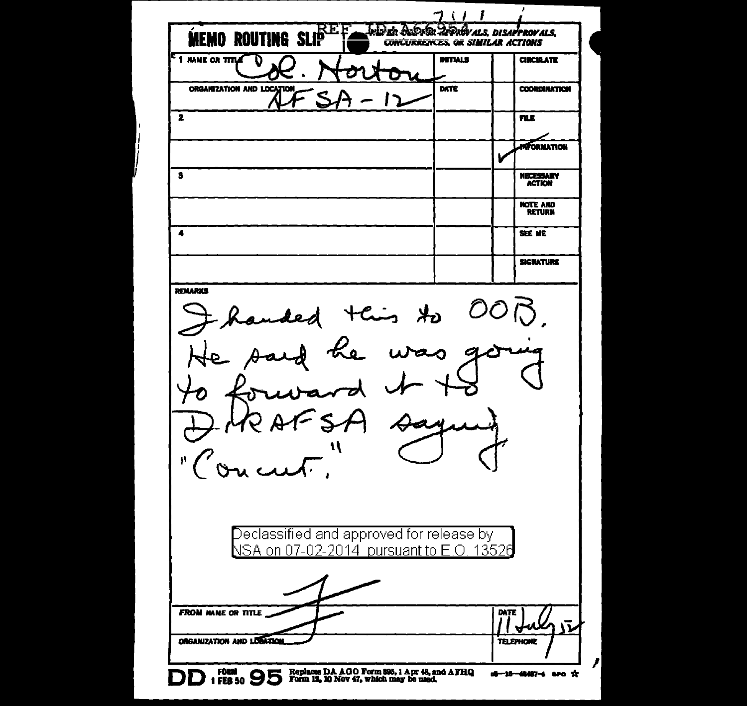|                                                                                      |                                         | <b>SOOR INDAGY ALS. DISAPPROVALS.</b> |
|--------------------------------------------------------------------------------------|-----------------------------------------|---------------------------------------|
| <b>MEMO ROUTING SLIP</b>                                                             | <b>CONCURRENCES, OR SIMILAR ACTIONS</b> |                                       |
| <sup>5</sup> 1 NAME OR TITLE                                                         | <b>INITIALS</b>                         | <b>CIRCULATE</b>                      |
| ORGANIZATION AND LOCATION                                                            | DATE                                    | <b>COORDINATION</b>                   |
| 2                                                                                    |                                         | <b>FILE</b>                           |
|                                                                                      |                                         | <b>AFORMATION</b>                     |
| 3                                                                                    |                                         | <b>NECESSARY</b><br><b>ACTION</b>     |
|                                                                                      |                                         | NOTE AND<br><b>RETURN</b>             |
| 4                                                                                    |                                         | SEE ME                                |
|                                                                                      |                                         | <b>SIGNATURE</b>                      |
| Thanded this to<br>MeAFSA<br>$\sqrt{2}$                                              |                                         |                                       |
| Declassified and approved for release by<br>NSA on 07-02-2014 pursuant to E.O. 13526 |                                         |                                       |
| <b>FROM NAME OR TITLE</b>                                                            |                                         | DATE                                  |
| ORGANIZATION AND LOGATION                                                            |                                         | <b>TELEPHONE</b>                      |
|                                                                                      |                                         |                                       |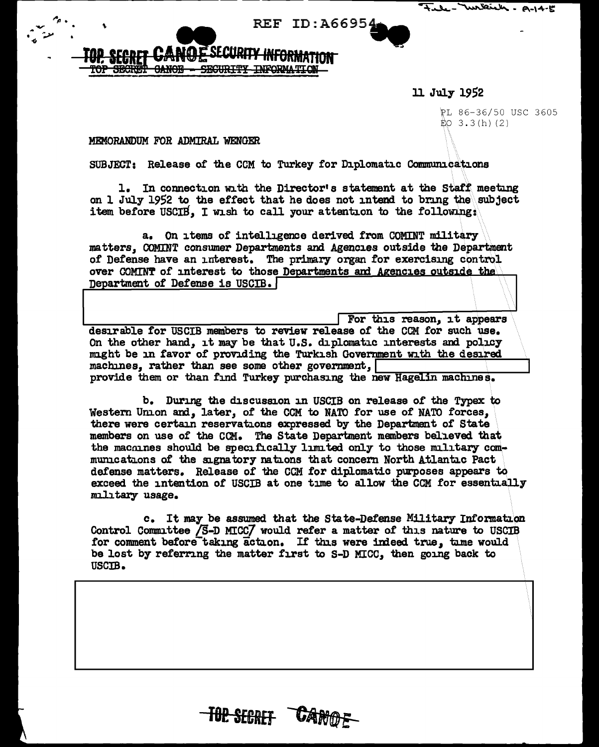| File- William - A-14-5 |
|------------------------|
|------------------------|

## TOP SECRET CANOE **SEGURITY**

11 July 1952

PL 86-36/50 USC 3605  $\stackrel{..}{\to}$  3.3 (h) (2)

## MEMORANDUM FOR ADMIRAL WENGER

SUBJECT: Release of the CCM to Turkey for Diplomatic Communications

1. In connection with the Director's statement at the Staff meeting on 1 July 1952 to the effect that he does not intend to bring the subject item before USCIB. I wish to call your attention to the following:

REF ID: A66954

a. On items of intelligence derived from COMINT military matters, COMINT consumer Departments and Agencies outside the Department of Defense have an interest. The primary organ for exercising control over COMINT of interest to those Departments and Agencies outside the Department of Defense is USCIB.

For this reason, it appears desirable for USCIB members to review release of the CCM for such use. On the other hand, it may be that U.S. diplomatic interests and policy might be in favor of providing the Turkish Government with the desired machines. rather than see some other government. provide them or than find Turkey purchasing the new Hagelin machines.

b. During the discussion in USCIB on release of the Typex to Western Union and, later, of the CCM to NATO for use of NATO forces, there were certain reservations expressed by the Department of State members on use of the CCM. The State Department members believed that the machines should be specifically limited only to those military communications of the signatory nations that concern North Atlantic Pact defense matters. Release of the CCM for diplomatic purposes appears to exceed the intention of USCIB at one time to allow the CCM for essentially military usage.

c. It may be assumed that the State-Defense Military Information Control Committee /S-D MICC/ would refer a matter of this nature to USCIB for comment before taking action. If this were indeed true, time would be lost by referring the matter first to S-D MICC, then going back to USCIB.

TOP SECRET CANOF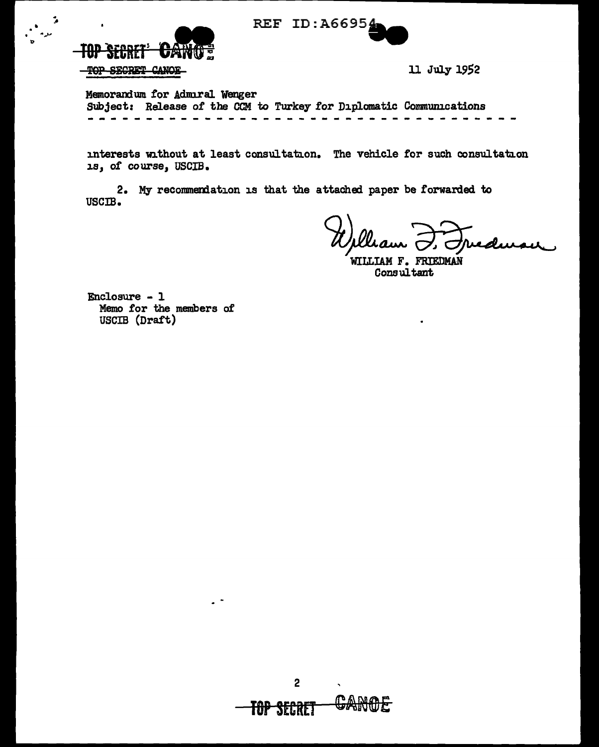



 $\ddot{\phantom{a}}$ 

11 July 1952

Memorandum for Admiral Wenger Subject: Release of the CCM to Turkey for Diplomatic Communications

interests without at least consultation. The vehicle for such consultation 1s, of course, USCIB.

2. My recommendation is that the attached paper be forwarded to USCIB.

WILLIAM F. FRIEDMAN Consultant

Enclosure - 1 Memo for the members of USCIB (Draft)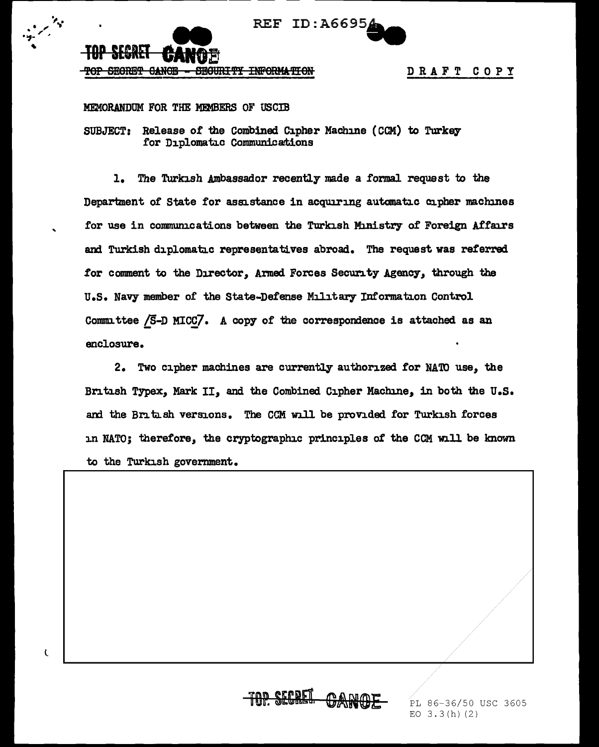

 $\overline{\mathbf{C}}$ 

DRAFT COPY

## MEMORANDUM FOR THE MEMBERS OF USCTB

SUBJECT: Release of the Combined Cipher Machine (CCM) to Turkey for Diplomatic Communications

The Turkish Ambassador recently made a formal request to the  $1.$ Department of State for assistance in acquiring automatic cipher machines for use in communications between the Turkish Ministry of Foreign Affairs and Turkish diplomatic representatives abroad. The request was referred for comment to the Director, Armed Forces Security Agency, through the U.S. Navy member of the State-Defense Military Information Control Committee  $\sqrt{5}$ -D MICC $\sqrt{7}$ . A copy of the correspondence is attached as an enclosure.

2. Two cipher machines are currently authorized for NATO use, the British Typex. Mark II. and the Combined Cipher Machine. in both the U.S. and the British versions. The CCM will be provided for Turkish forces in NATO; therefore, the cryptographic principles of the CCM will be known to the Turkish government.

PL 86-36/50 USC 3605 EO  $3.3(h)$  (2)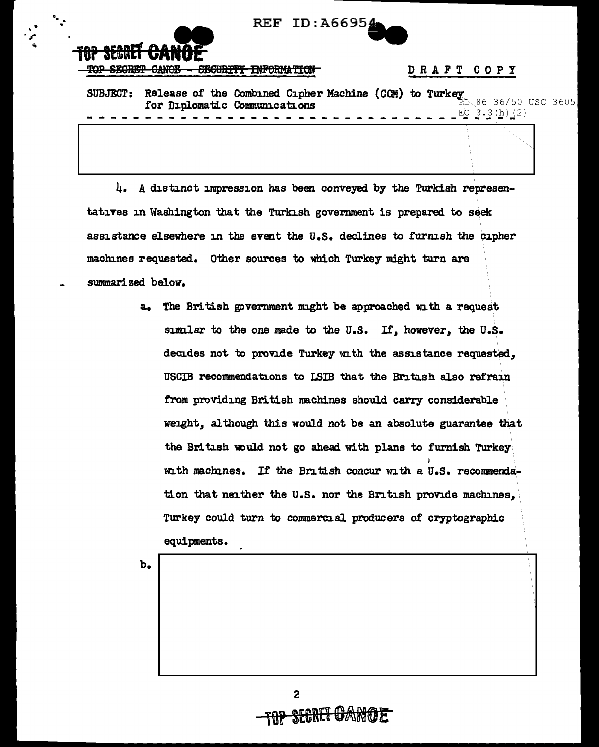REF ID: A66954



## DRAFT COPY

SUBJECT: Release of the Combined Cipher Machine (CCM) to Turkey  $86-36/50$  USC 3605 for Diplomatic Communications  $EQ_3$  3.3 (h) (2)

4. A distinct impression has been conveyed by the Turkish representatives in Washington that the Turkish government is prepared to seek assistance elsewhere in the event the U.S. declines to furnish the cipher machines requested. Other sources to which Turkey might turn are summarized below.

> The British government might be approached with a request  $a_{\bullet}$ similar to the one made to the U.S. If, however, the U.S. decides not to provide Turkey with the assistance requested. USCIB recommendations to LSIB that the British also refrain from providing British machines should carry considerable weight, although this would not be an absolute guarantee that the British would not go ahead with plans to furnish Turkey with machines. If the British concur with a U.S. recommendation that neither the U.S. nor the British provide machines, Turkey could turn to commercial producers of cryptographic equipments.

 $b_{\bullet}$